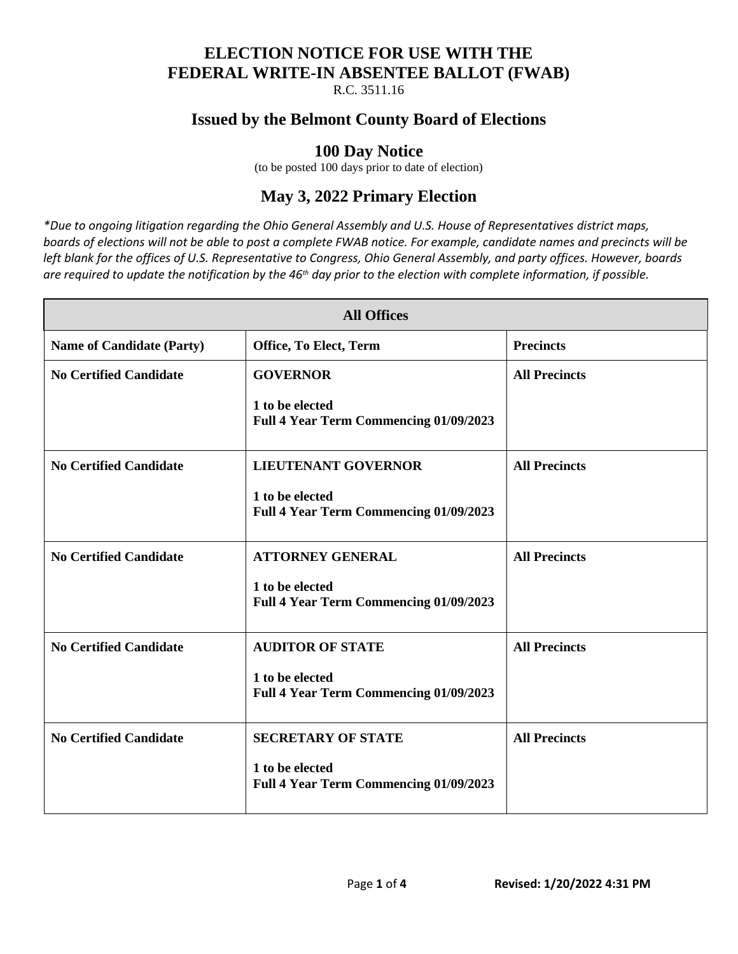#### **ELECTION NOTICE FOR USE WITH THE FEDERAL WRITE-IN ABSENTEE BALLOT (FWAB)**

R.C. 3511.16

### **Issued by the Belmont County Board of Elections**

### **100 Day Notice**

(to be posted 100 days prior to date of election)

# **May 3, 2022 Primary Election**

*\*Due to ongoing litigation regarding the Ohio General Assembly and U.S. House of Representatives district maps, boards of elections will not be able to post a complete FWAB notice. For example, candidate names and precincts will be left blank for the offices of U.S. Representative to Congress, Ohio General Assembly, and party offices. However, boards are required to update the notification by the 46th day prior to the election with complete information, if possible.*

| <b>All Offices</b>               |                                                                                               |                      |  |  |
|----------------------------------|-----------------------------------------------------------------------------------------------|----------------------|--|--|
| <b>Name of Candidate (Party)</b> | Office, To Elect, Term                                                                        | <b>Precincts</b>     |  |  |
| <b>No Certified Candidate</b>    | <b>GOVERNOR</b><br>1 to be elected<br>Full 4 Year Term Commencing 01/09/2023                  | <b>All Precincts</b> |  |  |
| <b>No Certified Candidate</b>    | <b>LIEUTENANT GOVERNOR</b><br>1 to be elected<br>Full 4 Year Term Commencing 01/09/2023       | <b>All Precincts</b> |  |  |
| <b>No Certified Candidate</b>    | <b>ATTORNEY GENERAL</b><br>1 to be elected<br>Full 4 Year Term Commencing 01/09/2023          | <b>All Precincts</b> |  |  |
| <b>No Certified Candidate</b>    | <b>AUDITOR OF STATE</b><br>1 to be elected<br><b>Full 4 Year Term Commencing 01/09/2023</b>   | <b>All Precincts</b> |  |  |
| <b>No Certified Candidate</b>    | <b>SECRETARY OF STATE</b><br>1 to be elected<br><b>Full 4 Year Term Commencing 01/09/2023</b> | <b>All Precincts</b> |  |  |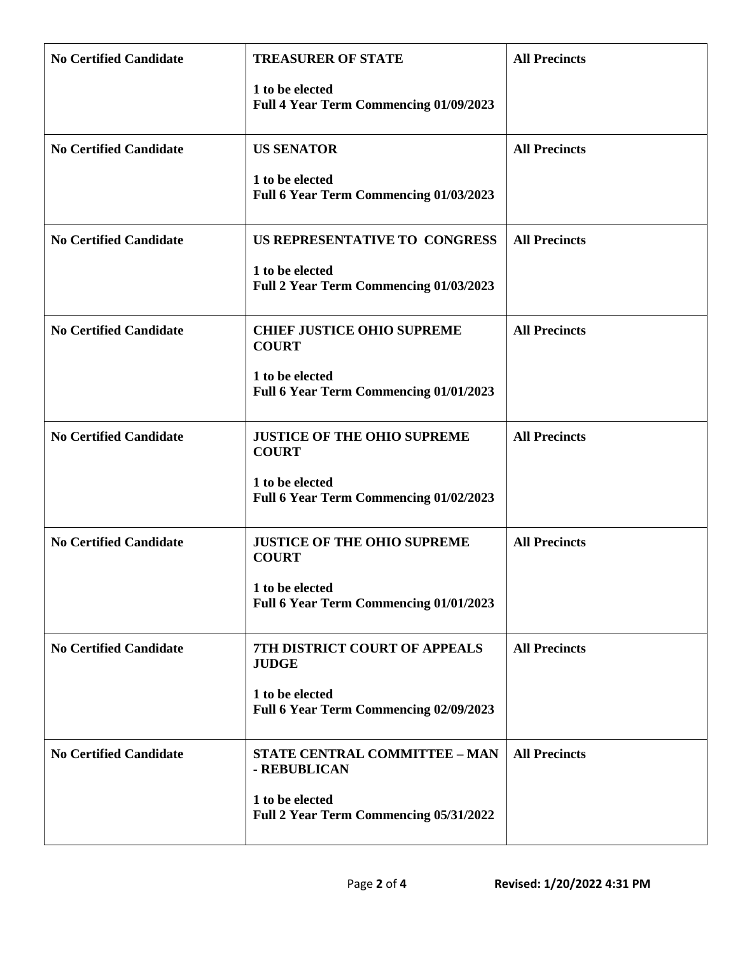| <b>No Certified Candidate</b> | <b>TREASURER OF STATE</b>                                 | <b>All Precincts</b> |
|-------------------------------|-----------------------------------------------------------|----------------------|
|                               | 1 to be elected<br>Full 4 Year Term Commencing 01/09/2023 |                      |
| <b>No Certified Candidate</b> | <b>US SENATOR</b>                                         | <b>All Precincts</b> |
|                               | 1 to be elected<br>Full 6 Year Term Commencing 01/03/2023 |                      |
| <b>No Certified Candidate</b> | US REPRESENTATIVE TO CONGRESS                             | <b>All Precincts</b> |
|                               | 1 to be elected<br>Full 2 Year Term Commencing 01/03/2023 |                      |
| <b>No Certified Candidate</b> | <b>CHIEF JUSTICE OHIO SUPREME</b><br><b>COURT</b>         | <b>All Precincts</b> |
|                               | 1 to be elected<br>Full 6 Year Term Commencing 01/01/2023 |                      |
| <b>No Certified Candidate</b> | <b>JUSTICE OF THE OHIO SUPREME</b><br><b>COURT</b>        | <b>All Precincts</b> |
|                               | 1 to be elected<br>Full 6 Year Term Commencing 01/02/2023 |                      |
| <b>No Certified Candidate</b> | <b>JUSTICE OF THE OHIO SUPREME</b><br><b>COURT</b>        | <b>All Precincts</b> |
|                               | 1 to be elected<br>Full 6 Year Term Commencing 01/01/2023 |                      |
| <b>No Certified Candidate</b> | <b>7TH DISTRICT COURT OF APPEALS</b><br><b>JUDGE</b>      | <b>All Precincts</b> |
|                               | 1 to be elected<br>Full 6 Year Term Commencing 02/09/2023 |                      |
| <b>No Certified Candidate</b> | <b>STATE CENTRAL COMMITTEE - MAN</b><br>- REBUBLICAN      | <b>All Precincts</b> |
|                               | 1 to be elected<br>Full 2 Year Term Commencing 05/31/2022 |                      |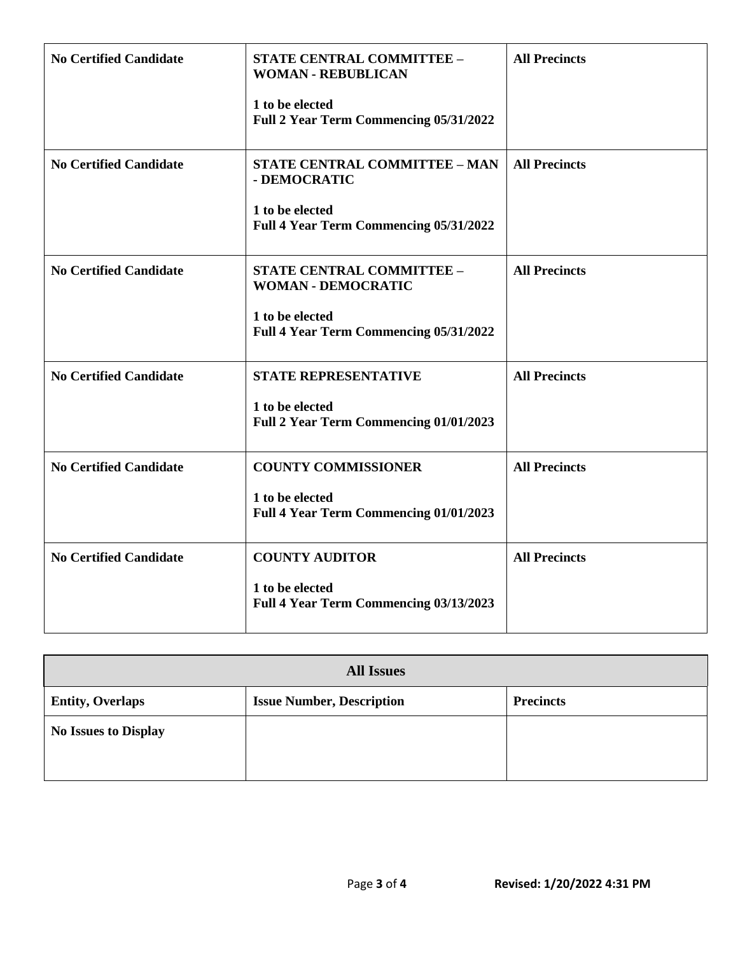| <b>No Certified Candidate</b> | <b>STATE CENTRAL COMMITTEE -</b><br><b>WOMAN - REBUBLICAN</b><br>1 to be elected | <b>All Precincts</b> |
|-------------------------------|----------------------------------------------------------------------------------|----------------------|
|                               | Full 2 Year Term Commencing 05/31/2022                                           |                      |
| <b>No Certified Candidate</b> | STATE CENTRAL COMMITTEE - MAN<br>- DEMOCRATIC                                    | <b>All Precincts</b> |
|                               | 1 to be elected<br>Full 4 Year Term Commencing 05/31/2022                        |                      |
| <b>No Certified Candidate</b> | <b>STATE CENTRAL COMMITTEE -</b><br><b>WOMAN - DEMOCRATIC</b>                    | <b>All Precincts</b> |
|                               | 1 to be elected<br>Full 4 Year Term Commencing 05/31/2022                        |                      |
| <b>No Certified Candidate</b> | <b>STATE REPRESENTATIVE</b>                                                      | <b>All Precincts</b> |
|                               | 1 to be elected<br>Full 2 Year Term Commencing 01/01/2023                        |                      |
| <b>No Certified Candidate</b> | <b>COUNTY COMMISSIONER</b>                                                       | <b>All Precincts</b> |
|                               | 1 to be elected<br>Full 4 Year Term Commencing 01/01/2023                        |                      |
| <b>No Certified Candidate</b> | <b>COUNTY AUDITOR</b>                                                            | <b>All Precincts</b> |
|                               | 1 to be elected<br>Full 4 Year Term Commencing 03/13/2023                        |                      |

| <b>All Issues</b>           |                                  |                  |  |  |
|-----------------------------|----------------------------------|------------------|--|--|
| <b>Entity, Overlaps</b>     | <b>Issue Number, Description</b> | <b>Precincts</b> |  |  |
| <b>No Issues to Display</b> |                                  |                  |  |  |
|                             |                                  |                  |  |  |